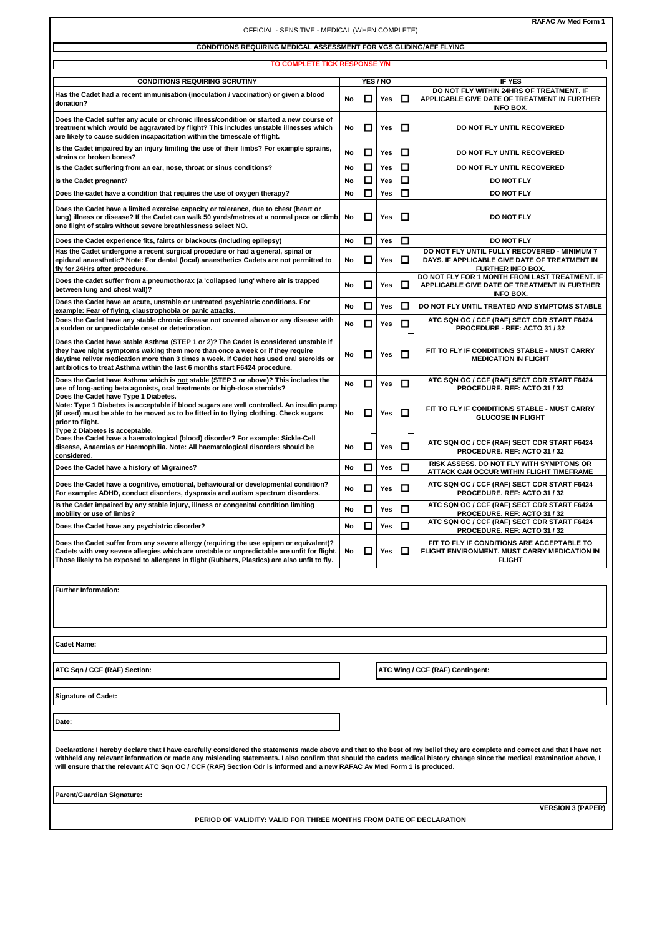| RAFAC Av Med Form 1<br>OFFICIAL - SENSITIVE - MEDICAL (WHEN COMPLETE)                                                                                                                                                                                                                                                                                                                                                                                                               |    |        |            |        |                                                                                                                                             |
|-------------------------------------------------------------------------------------------------------------------------------------------------------------------------------------------------------------------------------------------------------------------------------------------------------------------------------------------------------------------------------------------------------------------------------------------------------------------------------------|----|--------|------------|--------|---------------------------------------------------------------------------------------------------------------------------------------------|
| CONDITIONS REQUIRING MEDICAL ASSESSMENT FOR VGS GLIDING/AEF FLYING                                                                                                                                                                                                                                                                                                                                                                                                                  |    |        |            |        |                                                                                                                                             |
| TO COMPLETE TICK RESPONSE Y/N                                                                                                                                                                                                                                                                                                                                                                                                                                                       |    |        |            |        |                                                                                                                                             |
| <b>CONDITIONS REQUIRING SCRUTINY</b>                                                                                                                                                                                                                                                                                                                                                                                                                                                |    |        | YES / NO   |        | <b>IF YES</b>                                                                                                                               |
| Has the Cadet had a recent immunisation (inoculation / vaccination) or given a blood<br>donation?                                                                                                                                                                                                                                                                                                                                                                                   | No | $\Box$ | Yes $\Box$ |        | DO NOT FLY WITHIN 24HRS OF TREATMENT. IF<br>APPLICABLE GIVE DATE OF TREATMENT IN FURTHER<br><b>INFO BOX.</b>                                |
| Does the Cadet suffer any acute or chronic illness/condition or started a new course of<br>treatment which would be aggravated by flight? This includes unstable illnesses which<br>are likely to cause sudden incapacitation within the timescale of flight.                                                                                                                                                                                                                       | No | □      | Yes        | O      | DO NOT FLY UNTIL RECOVERED                                                                                                                  |
| Is the Cadet impaired by an injury limiting the use of their limbs? For example sprains,<br>strains or broken bones?                                                                                                                                                                                                                                                                                                                                                                | No | ◻      | Yes        | ◻      | DO NOT FLY UNTIL RECOVERED                                                                                                                  |
| Is the Cadet suffering from an ear, nose, throat or sinus conditions?                                                                                                                                                                                                                                                                                                                                                                                                               | No | □      | Yes        | □      | DO NOT FLY UNTIL RECOVERED                                                                                                                  |
| Is the Cadet pregnant?                                                                                                                                                                                                                                                                                                                                                                                                                                                              | No | □      | Yes        | □      | DO NOT FLY                                                                                                                                  |
| Does the cadet have a condition that requires the use of oxygen therapy?                                                                                                                                                                                                                                                                                                                                                                                                            | No | ◻      | Yes        | ◘      | <b>DO NOT FLY</b>                                                                                                                           |
| Does the Cadet have a limited exercise capacity or tolerance, due to chest (heart or<br>lung) illness or disease? If the Cadet can walk 50 yards/metres at a normal pace or climb<br>one flight of stairs without severe breathlessness select NO.                                                                                                                                                                                                                                  | No | □      | Yes        | O      | DO NOT FLY                                                                                                                                  |
| Does the Cadet experience fits, faints or blackouts (including epilepsy)                                                                                                                                                                                                                                                                                                                                                                                                            | No | □      | Yes        | □      | DO NOT FLY                                                                                                                                  |
| Has the Cadet undergone a recent surgical procedure or had a general, spinal or<br>epidural anaesthetic? Note: For dental (local) anaesthetics Cadets are not permitted to<br>fly for 24Hrs after procedure.                                                                                                                                                                                                                                                                        | No | □      | Yes        | O      | DO NOT FLY UNTIL FULLY RECOVERED - MINIMUM 7<br>DAYS. IF APPLICABLE GIVE DATE OF TREATMENT IN<br>FURTHER INFO BOX.                          |
| Does the cadet suffer from a pneumothorax (a 'collapsed lung' where air is trapped<br>between lung and chest wall)?                                                                                                                                                                                                                                                                                                                                                                 | No | □      | Yes        | O      | DO NOT FLY FOR 1 MONTH FROM LAST TREATMENT. IF<br>APPLICABLE GIVE DATE OF TREATMENT IN FURTHER<br><b>INFO BOX.</b>                          |
| Does the Cadet have an acute, unstable or untreated psychiatric conditions. For<br>example: Fear of flying, claustrophobia or panic attacks.                                                                                                                                                                                                                                                                                                                                        | No | □      | Yes        | □      | DO NOT FLY UNTIL TREATED AND SYMPTOMS STABLE                                                                                                |
| Does the Cadet have any stable chronic disease not covered above or any disease with<br>a sudden or unpredictable onset or deterioration.                                                                                                                                                                                                                                                                                                                                           | No | □      | Yes        | o      | ATC SQN OC / CCF (RAF) SECT CDR START F6424<br>PROCEDURE - REF: ACTO 31 / 32                                                                |
| Does the Cadet have stable Asthma (STEP 1 or 2)? The Cadet is considered unstable if<br>they have night symptoms waking them more than once a week or if they require<br>daytime reliver medication more than 3 times a week. If Cadet has used oral steroids or<br>antibiotics to treat Asthma within the last 6 months start F6424 procedure.                                                                                                                                     | No | 口      | Yes        | 0      | FIT TO FLY IF CONDITIONS STABLE - MUST CARRY<br><b>MEDICATION IN FLIGHT</b>                                                                 |
| Does the Cadet have Asthma which is not stable (STEP 3 or above)? This includes the<br>use of long-acting beta agonists, oral treatments or high-dose steroids?                                                                                                                                                                                                                                                                                                                     | No | □      | Yes        | 0      | ATC SQN OC / CCF (RAF) SECT CDR START F6424<br>PROCEDURE. REF: ACTO 31 / 32                                                                 |
| Does the Cadet have Type 1 Diabetes.<br>Note: Type 1 Diabetes is acceptable if blood sugars are well controlled. An insulin pump<br>(if used) must be able to be moved as to be fitted in to flying clothing. Check sugars<br>prior to flight.<br>Type 2 Diabetes is acceptable.                                                                                                                                                                                                    | No | ◻      | Yes        | 0      | FIT TO FLY IF CONDITIONS STABLE - MUST CARRY<br><b>GLUCOSE IN FLIGHT</b>                                                                    |
| Does the Cadet have a haematological (blood) disorder? For example: Sickle-Cell<br>disease, Anaemias or Haemophilia. Note: All haematological disorders should be<br>considered.                                                                                                                                                                                                                                                                                                    | No | □      | Yes        | 0      | ATC SQN OC / CCF (RAF) SECT CDR START F6424<br>PROCEDURE. REF: ACTO 31 / 32                                                                 |
| Does the Cadet have a history of Migraines?                                                                                                                                                                                                                                                                                                                                                                                                                                         | No | □      | Yes        | □      | RISK ASSESS. DO NOT FLY WITH SYMPTOMS OR<br>ATTACK CAN OCCUR WITHIN FLIGHT TIMEFRAME                                                        |
| Does the Cadet have a cognitive, emotional, behavioural or developmental condition?<br>For example: ADHD, conduct disorders, dyspraxia and autism spectrum disorders.                                                                                                                                                                                                                                                                                                               | No | □      | Yes        | O      | ATC SQN OC / CCF (RAF) SECT CDR START F6424<br>PROCEDURE. REF: ACTO 31 / 32                                                                 |
| Is the Cadet impaired by any stable injury, illness or congenital condition limiting<br>mobility or use of limbs?                                                                                                                                                                                                                                                                                                                                                                   | No | □      | Yes        | □      | ATC SQN OC / CCF (RAF) SECT CDR START F6424<br>PROCEDURE. REF: ACTO 31 / 32                                                                 |
| Does the Cadet have any psychiatric disorder?                                                                                                                                                                                                                                                                                                                                                                                                                                       | No | ◻      | Yes        | $\Box$ | ATC SQN OC / CCF (RAF) SECT CDR START F6424                                                                                                 |
| Does the Cadet suffer from any severe allergy (requiring the use epipen or equivalent)?<br>Cadets with very severe allergies which are unstable or unpredictable are unfit for flight.<br>Those likely to be exposed to allergens in flight (Rubbers, Plastics) are also unfit to fly.                                                                                                                                                                                              | No | □      | Yes        | O      | PROCEDURE. REF: ACTO 31 / 32<br>FIT TO FLY IF CONDITIONS ARE ACCEPTABLE TO<br>FLIGHT ENVIRONMENT. MUST CARRY MEDICATION IN<br><b>FLIGHT</b> |
|                                                                                                                                                                                                                                                                                                                                                                                                                                                                                     |    |        |            |        |                                                                                                                                             |
| <b>Further Information:</b>                                                                                                                                                                                                                                                                                                                                                                                                                                                         |    |        |            |        |                                                                                                                                             |
| <b>Cadet Name:</b>                                                                                                                                                                                                                                                                                                                                                                                                                                                                  |    |        |            |        |                                                                                                                                             |
| ATC Sqn / CCF (RAF) Section:                                                                                                                                                                                                                                                                                                                                                                                                                                                        |    |        |            |        | ATC Wing / CCF (RAF) Contingent:                                                                                                            |
| <b>Signature of Cadet:</b>                                                                                                                                                                                                                                                                                                                                                                                                                                                          |    |        |            |        |                                                                                                                                             |
| Date:                                                                                                                                                                                                                                                                                                                                                                                                                                                                               |    |        |            |        |                                                                                                                                             |
| Declaration: I hereby declare that I have carefully considered the statements made above and that to the best of my belief they are complete and correct and that I have not<br>withheld any relevant information or made any misleading statements. I also confirm that should the cadets medical history change since the medical examination above, I<br>will ensure that the relevant ATC Sqn OC / CCF (RAF) Section Cdr is informed and a new RAFAC Av Med Form 1 is produced. |    |        |            |        |                                                                                                                                             |
| Parent/Guardian Signature:                                                                                                                                                                                                                                                                                                                                                                                                                                                          |    |        |            |        |                                                                                                                                             |
| <b>VERSION 3 (PAPER)</b><br>PERIOD OF VALIDITY: VALID FOR THREE MONTHS FROM DATE OF DECLARATION                                                                                                                                                                                                                                                                                                                                                                                     |    |        |            |        |                                                                                                                                             |